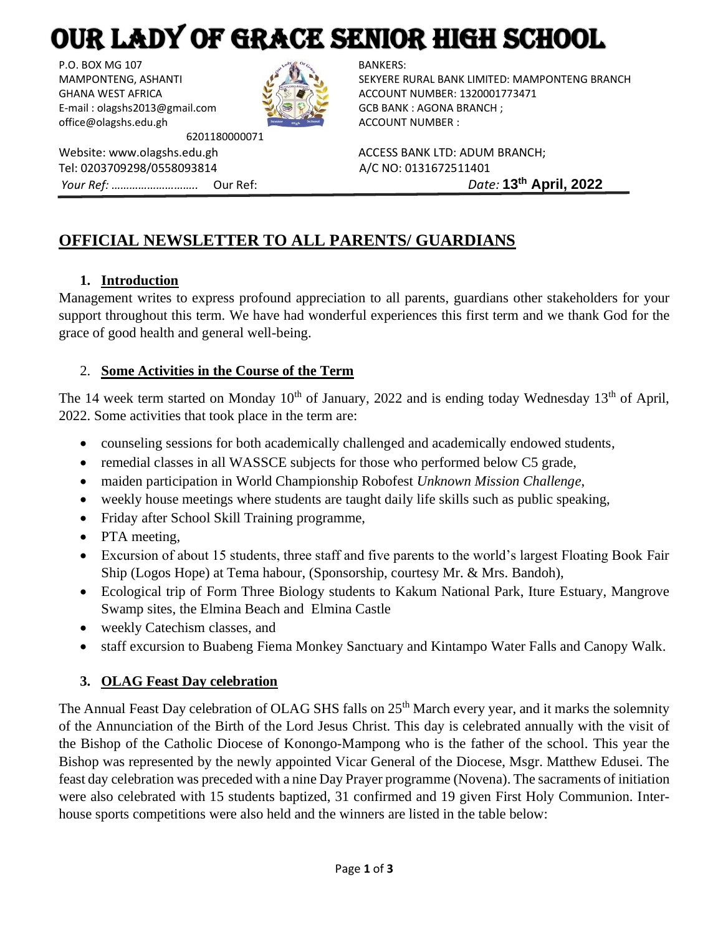# OUR LADY OF GRACE SENIOR HIGH SCHOOL

P.O. BOX MG 107  $\mathbb{R}^{\text{poly}}$  BANKERS: E-mail : olagshs2013@gmail.com GCB BANK : AGONA BRANCH ; office@olagshs.edu.gh ACCOUNT NUMBER :



6201180000071

Website: www.olagshs.edu.gh ACCESS BANK LTD: ADUM BRANCH; Tel: 0203709298/0558093814 A/C NO: 0131672511401 *Your Ref: ………………………..* Our Ref: *Date:* **13th April, 2022**

MAMPONTENG, ASHANTI SEKYERE RURAL BANK LIMITED: MAMPONTENG BRANCH GHANA WEST AFRICA **ACCOUNT NUMBER: 1320001773471** 

# **OFFICIAL NEWSLETTER TO ALL PARENTS/ GUARDIANS**

# **1. Introduction**

Management writes to express profound appreciation to all parents, guardians other stakeholders for your support throughout this term. We have had wonderful experiences this first term and we thank God for the grace of good health and general well-being.

# 2. **Some Activities in the Course of the Term**

The 14 week term started on Monday  $10<sup>th</sup>$  of January, 2022 and is ending today Wednesday 13<sup>th</sup> of April, 2022. Some activities that took place in the term are:

- counseling sessions for both academically challenged and academically endowed students,
- remedial classes in all WASSCE subjects for those who performed below C5 grade,
- maiden participation in World Championship Robofest *Unknown Mission Challenge*,
- weekly house meetings where students are taught daily life skills such as public speaking,
- Friday after School Skill Training programme,
- PTA meeting,
- Excursion of about 15 students, three staff and five parents to the world's largest Floating Book Fair Ship (Logos Hope) at Tema habour, (Sponsorship, courtesy Mr. & Mrs. Bandoh),
- Ecological trip of Form Three Biology students to Kakum National Park, Iture Estuary, Mangrove Swamp sites, the Elmina Beach and Elmina Castle
- weekly Catechism classes, and
- staff excursion to Buabeng Fiema Monkey Sanctuary and Kintampo Water Falls and Canopy Walk.

# **3. OLAG Feast Day celebration**

The Annual Feast Day celebration of OLAG SHS falls on 25<sup>th</sup> March every year, and it marks the solemnity of the Annunciation of the Birth of the Lord Jesus Christ. This day is celebrated annually with the visit of the Bishop of the Catholic Diocese of Konongo-Mampong who is the father of the school. This year the Bishop was represented by the newly appointed Vicar General of the Diocese, Msgr. Matthew Edusei. The feast day celebration was preceded with a nine Day Prayer programme (Novena). The sacraments of initiation were also celebrated with 15 students baptized, 31 confirmed and 19 given First Holy Communion. Interhouse sports competitions were also held and the winners are listed in the table below: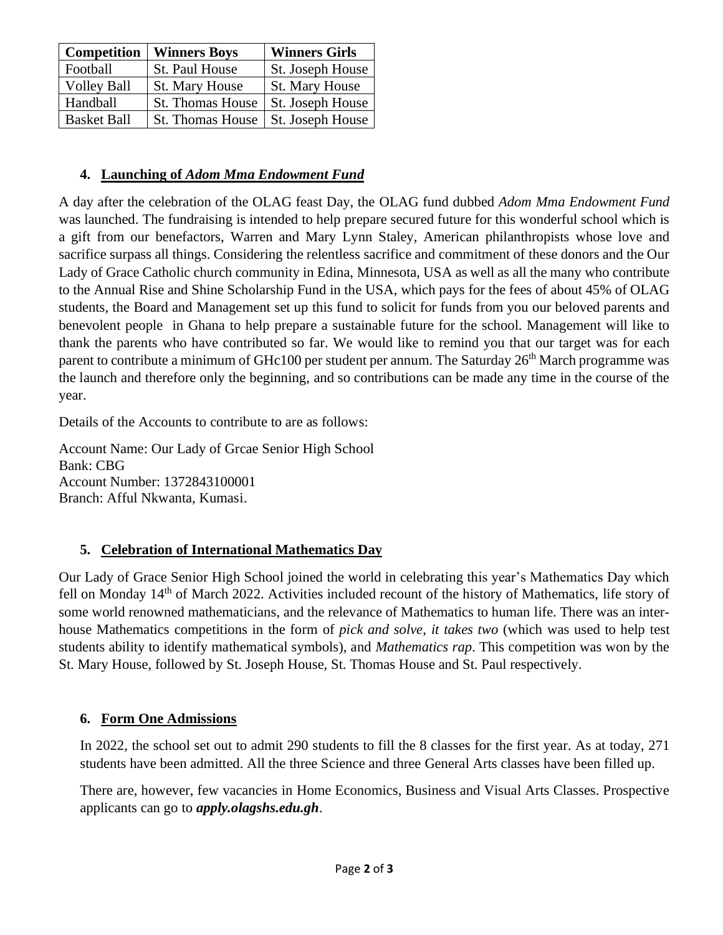| Competition        | <b>Winners Boys</b>     | <b>Winners Girls</b>  |
|--------------------|-------------------------|-----------------------|
| Football           | St. Paul House          | St. Joseph House      |
| <b>Volley Ball</b> | <b>St. Mary House</b>   | <b>St. Mary House</b> |
| Handball           | <b>St. Thomas House</b> | St. Joseph House      |
| <b>Basket Ball</b> | <b>St. Thomas House</b> | St. Joseph House      |

### **4. Launching of** *Adom Mma Endowment Fund*

A day after the celebration of the OLAG feast Day, the OLAG fund dubbed *Adom Mma Endowment Fund* was launched. The fundraising is intended to help prepare secured future for this wonderful school which is a gift from our benefactors, Warren and Mary Lynn Staley, American philanthropists whose love and sacrifice surpass all things. Considering the relentless sacrifice and commitment of these donors and the Our Lady of Grace Catholic church community in Edina, Minnesota, USA as well as all the many who contribute to the Annual Rise and Shine Scholarship Fund in the USA, which pays for the fees of about 45% of OLAG students, the Board and Management set up this fund to solicit for funds from you our beloved parents and benevolent people in Ghana to help prepare a sustainable future for the school. Management will like to thank the parents who have contributed so far. We would like to remind you that our target was for each parent to contribute a minimum of GHc100 per student per annum. The Saturday 26<sup>th</sup> March programme was the launch and therefore only the beginning, and so contributions can be made any time in the course of the year.

Details of the Accounts to contribute to are as follows:

Account Name: Our Lady of Grcae Senior High School Bank: CBG Account Number: 1372843100001 Branch: Afful Nkwanta, Kumasi.

# **5. Celebration of International Mathematics Day**

Our Lady of Grace Senior High School joined the world in celebrating this year's Mathematics Day which fell on Monday 14<sup>th</sup> of March 2022. Activities included recount of the history of Mathematics, life story of some world renowned mathematicians, and the relevance of Mathematics to human life. There was an interhouse Mathematics competitions in the form of *pick and solve*, *it takes two* (which was used to help test students ability to identify mathematical symbols), and *Mathematics rap*. This competition was won by the St. Mary House, followed by St. Joseph House, St. Thomas House and St. Paul respectively.

#### **6. Form One Admissions**

In 2022, the school set out to admit 290 students to fill the 8 classes for the first year. As at today, 271 students have been admitted. All the three Science and three General Arts classes have been filled up.

There are, however, few vacancies in Home Economics, Business and Visual Arts Classes. Prospective applicants can go to *apply.olagshs.edu.gh*.